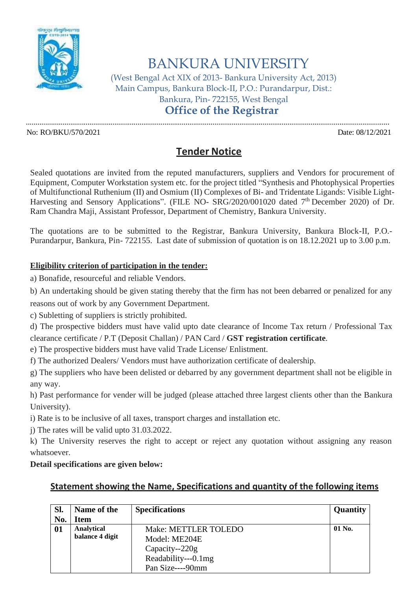

# BANKURA UNIVERSITY

(West Bengal Act XIX of 2013- Bankura University Act, 2013) Main Campus, Bankura Block-II, P.O.: Purandarpur, Dist.: Bankura, Pin- 722155, West Bengal **Office of the Registrar**

.............................................................................................................................................................................................

No: RO/BKU/570/2021 Date: 08/12/2021

## **Tender Notice**

Sealed quotations are invited from the reputed manufacturers, suppliers and Vendors for procurement of Equipment, Computer Workstation system etc. for the project titled "Synthesis and Photophysical Properties of Multifunctional Ruthenium (II) and Osmium (II) Complexes of Bi- and Tridentate Ligands: Visible Light-Harvesting and Sensory Applications". (FILE NO- SRG/2020/001020 dated 7<sup>th</sup> December 2020) of Dr. Ram Chandra Maji, Assistant Professor, Department of Chemistry, Bankura University.

The quotations are to be submitted to the Registrar, Bankura University, Bankura Block-II, P.O.- Purandarpur, Bankura, Pin- 722155. Last date of submission of quotation is on 18.12.2021 up to 3.00 p.m.

#### **Eligibility criterion of participation in the tender:**

a) Bonafide, resourceful and reliable Vendors.

b) An undertaking should be given stating thereby that the firm has not been debarred or penalized for any

reasons out of work by any Government Department.

c) Subletting of suppliers is strictly prohibited.

d) The prospective bidders must have valid upto date clearance of Income Tax return / Professional Tax clearance certificate / P.T (Deposit Challan) / PAN Card / **GST registration certificate**.

e) The prospective bidders must have valid Trade License/ Enlistment.

f) The authorized Dealers/ Vendors must have authorization certificate of dealership.

g) The suppliers who have been delisted or debarred by any government department shall not be eligible in any way.

h) Past performance for vender will be judged (please attached three largest clients other than the Bankura University).

i) Rate is to be inclusive of all taxes, transport charges and installation etc.

j) The rates will be valid upto 31.03.2022.

k) The University reserves the right to accept or reject any quotation without assigning any reason whatsoever.

#### **Detail specifications are given below:**

### **Statement showing the Name, Specifications and quantity of the following items**

| Sl. | Name of the     | <b>Specifications</b> | Quantity |
|-----|-----------------|-----------------------|----------|
| No. | Item            |                       |          |
| 01  | Analytical      | Make: METTLER TOLEDO  | 01 No.   |
|     | balance 4 digit | Model: ME204E         |          |
|     |                 | Capacity--220g        |          |
|     |                 | Readability---0.1mg   |          |
|     |                 | Pan Size----90mm      |          |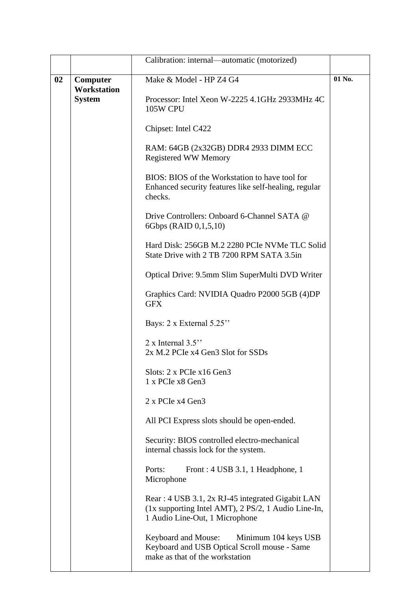|    |               | Calibration: internal—automatic (motorized)                                                                                               |                         |        |
|----|---------------|-------------------------------------------------------------------------------------------------------------------------------------------|-------------------------|--------|
| 02 |               | Computer<br><b>Workstation</b>                                                                                                            | Make & Model - HP Z4 G4 | 01 No. |
|    | <b>System</b> | Processor: Intel Xeon W-2225 4.1GHz 2933MHz 4C<br>105W CPU                                                                                |                         |        |
|    |               | Chipset: Intel C422                                                                                                                       |                         |        |
|    |               | RAM: 64GB (2x32GB) DDR4 2933 DIMM ECC<br><b>Registered WW Memory</b>                                                                      |                         |        |
|    |               | BIOS: BIOS of the Workstation to have tool for<br>Enhanced security features like self-healing, regular<br>checks.                        |                         |        |
|    |               | Drive Controllers: Onboard 6-Channel SATA @<br>6Gbps (RAID 0,1,5,10)                                                                      |                         |        |
|    |               | Hard Disk: 256GB M.2 2280 PCIe NVMe TLC Solid<br>State Drive with 2 TB 7200 RPM SATA 3.5in                                                |                         |        |
|    |               | Optical Drive: 9.5mm Slim SuperMulti DVD Writer                                                                                           |                         |        |
|    |               | Graphics Card: NVIDIA Quadro P2000 5GB (4)DP<br><b>GFX</b>                                                                                |                         |        |
|    |               | Bays: 2 x External 5.25"                                                                                                                  |                         |        |
|    |               | 2 x Internal $3.5$ "<br>2x M.2 PCIe x4 Gen3 Slot for SSDs                                                                                 |                         |        |
|    |               | Slots: 2 x PCIe x16 Gen3<br>1 x PCIe x8 Gen3                                                                                              |                         |        |
|    |               | 2 x PCIe x4 Gen3                                                                                                                          |                         |        |
|    |               | All PCI Express slots should be open-ended.                                                                                               |                         |        |
|    |               | Security: BIOS controlled electro-mechanical<br>internal chassis lock for the system.                                                     |                         |        |
|    |               | Ports:<br>Front: 4 USB 3.1, 1 Headphone, 1<br>Microphone                                                                                  |                         |        |
|    |               | Rear: 4 USB 3.1, 2x RJ-45 integrated Gigabit LAN<br>(1x supporting Intel AMT), 2 PS/2, 1 Audio Line-In,<br>1 Audio Line-Out, 1 Microphone |                         |        |
|    |               | Keyboard and Mouse:<br>Minimum 104 keys USB<br>Keyboard and USB Optical Scroll mouse - Same<br>make as that of the workstation            |                         |        |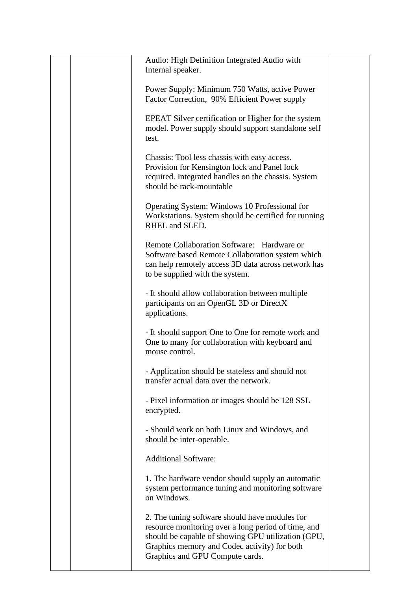|  | Audio: High Definition Integrated Audio with<br>Internal speaker.                                                                                                                                                                              |  |
|--|------------------------------------------------------------------------------------------------------------------------------------------------------------------------------------------------------------------------------------------------|--|
|  | Power Supply: Minimum 750 Watts, active Power<br>Factor Correction, 90% Efficient Power supply                                                                                                                                                 |  |
|  | EPEAT Silver certification or Higher for the system<br>model. Power supply should support standalone self<br>test.                                                                                                                             |  |
|  | Chassis: Tool less chassis with easy access.<br>Provision for Kensington lock and Panel lock<br>required. Integrated handles on the chassis. System<br>should be rack-mountable                                                                |  |
|  | Operating System: Windows 10 Professional for<br>Workstations. System should be certified for running<br>RHEL and SLED.                                                                                                                        |  |
|  | Remote Collaboration Software: Hardware or<br>Software based Remote Collaboration system which<br>can help remotely access 3D data across network has<br>to be supplied with the system.                                                       |  |
|  | - It should allow collaboration between multiple<br>participants on an OpenGL 3D or DirectX<br>applications.                                                                                                                                   |  |
|  | - It should support One to One for remote work and<br>One to many for collaboration with keyboard and<br>mouse control.                                                                                                                        |  |
|  | - Application should be stateless and should not<br>transfer actual data over the network.                                                                                                                                                     |  |
|  | - Pixel information or images should be 128 SSL<br>encrypted.                                                                                                                                                                                  |  |
|  | - Should work on both Linux and Windows, and<br>should be inter-operable.                                                                                                                                                                      |  |
|  | <b>Additional Software:</b>                                                                                                                                                                                                                    |  |
|  | 1. The hardware vendor should supply an automatic<br>system performance tuning and monitoring software<br>on Windows.                                                                                                                          |  |
|  | 2. The tuning software should have modules for<br>resource monitoring over a long period of time, and<br>should be capable of showing GPU utilization (GPU,<br>Graphics memory and Codec activity) for both<br>Graphics and GPU Compute cards. |  |
|  |                                                                                                                                                                                                                                                |  |